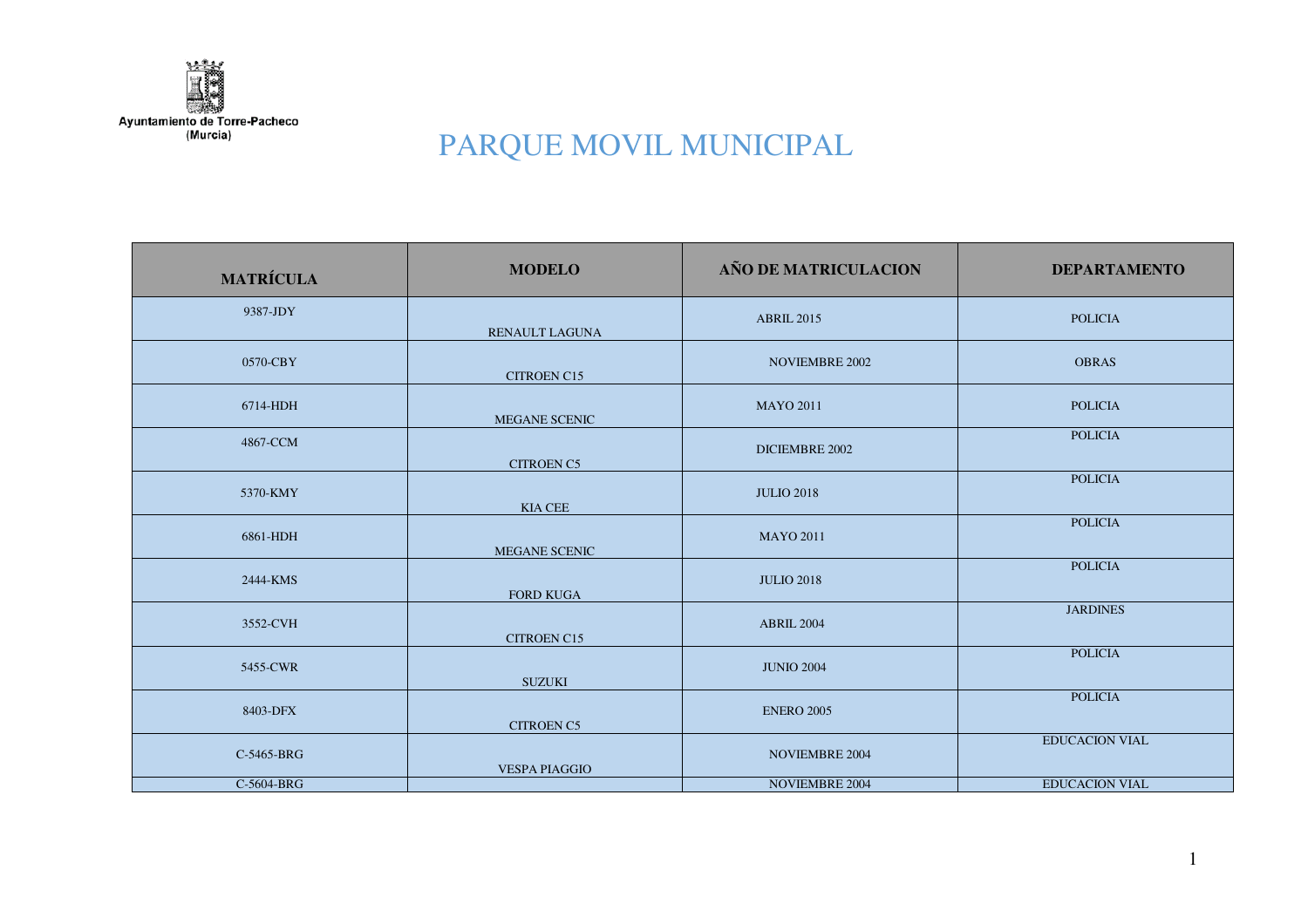

| <b>MATRÍCULA</b> | <b>MODELO</b>         | AÑO DE MATRICULACION  | <b>DEPARTAMENTO</b>   |
|------------------|-----------------------|-----------------------|-----------------------|
| 9387-JDY         | <b>RENAULT LAGUNA</b> | <b>ABRIL 2015</b>     | <b>POLICIA</b>        |
| 0570-CBY         | <b>CITROEN C15</b>    | <b>NOVIEMBRE 2002</b> | <b>OBRAS</b>          |
| 6714-HDH         | MEGANE SCENIC         | <b>MAYO 2011</b>      | <b>POLICIA</b>        |
| 4867-CCM         | <b>CITROEN C5</b>     | DICIEMBRE 2002        | <b>POLICIA</b>        |
| 5370-KMY         | <b>KIA CEE</b>        | <b>JULIO 2018</b>     | <b>POLICIA</b>        |
| 6861-HDH         | <b>MEGANE SCENIC</b>  | <b>MAYO 2011</b>      | <b>POLICIA</b>        |
| 2444-KMS         | <b>FORD KUGA</b>      | <b>JULIO 2018</b>     | <b>POLICIA</b>        |
| 3552-CVH         | CITROEN C15           | <b>ABRIL 2004</b>     | <b>JARDINES</b>       |
| 5455-CWR         | <b>SUZUKI</b>         | <b>JUNIO 2004</b>     | <b>POLICIA</b>        |
| 8403-DFX         | <b>CITROEN C5</b>     | <b>ENERO 2005</b>     | <b>POLICIA</b>        |
| C-5465-BRG       | <b>VESPA PIAGGIO</b>  | <b>NOVIEMBRE 2004</b> | <b>EDUCACION VIAL</b> |
| C-5604-BRG       |                       | <b>NOVIEMBRE 2004</b> | <b>EDUCACION VIAL</b> |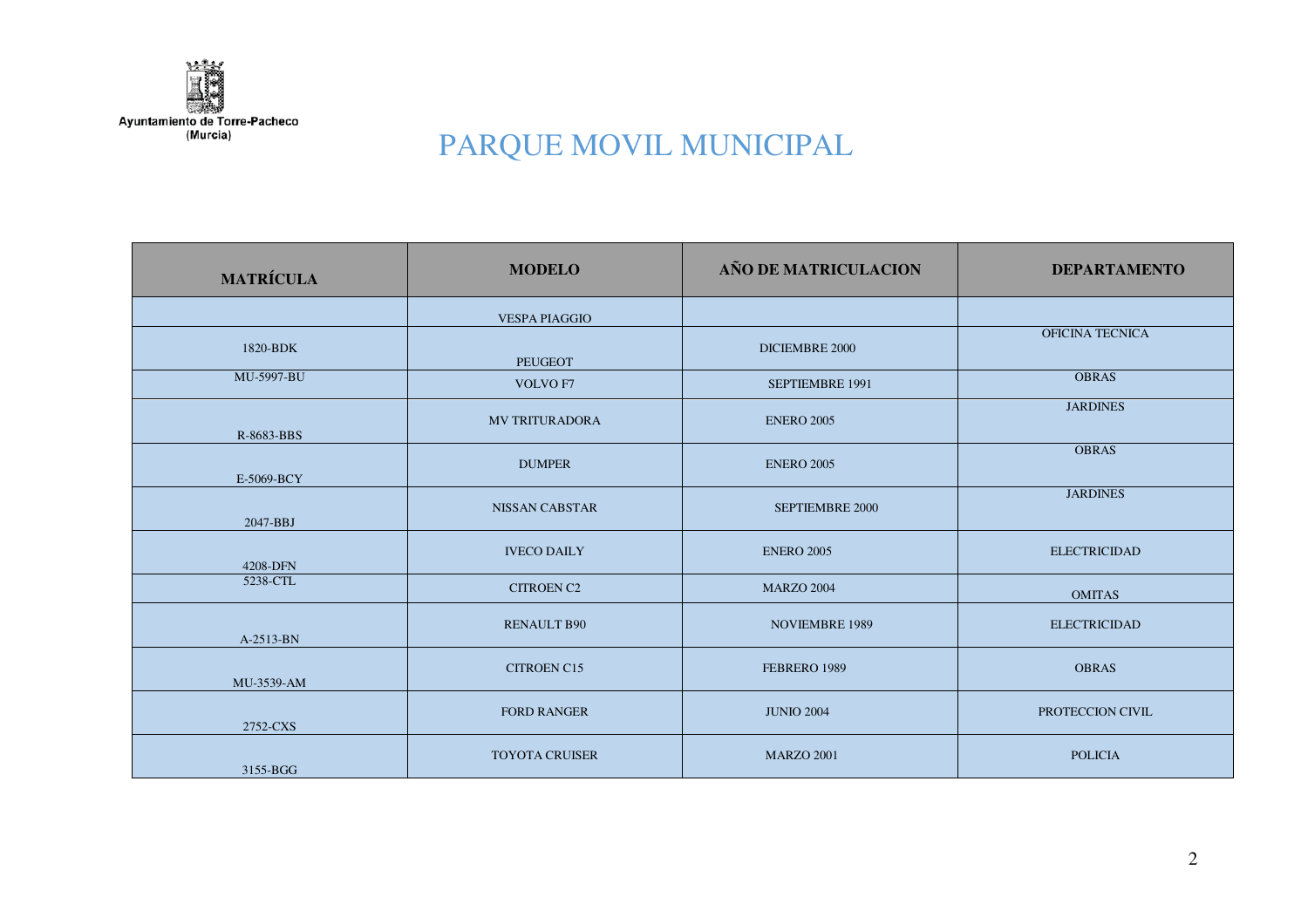

| <b>MATRÍCULA</b> | <b>MODELO</b>         | AÑO DE MATRICULACION  | <b>DEPARTAMENTO</b>    |
|------------------|-----------------------|-----------------------|------------------------|
|                  | <b>VESPA PIAGGIO</b>  |                       |                        |
| 1820-BDK         | <b>PEUGEOT</b>        | DICIEMBRE 2000        | <b>OFICINA TECNICA</b> |
| MU-5997-BU       | VOLVO F7              | SEPTIEMBRE 1991       | <b>OBRAS</b>           |
| R-8683-BBS       | <b>MV TRITURADORA</b> | <b>ENERO 2005</b>     | <b>JARDINES</b>        |
| E-5069-BCY       | <b>DUMPER</b>         | <b>ENERO 2005</b>     | <b>OBRAS</b>           |
| 2047-BBJ         | <b>NISSAN CABSTAR</b> | SEPTIEMBRE 2000       | <b>JARDINES</b>        |
| 4208-DFN         | <b>IVECO DAILY</b>    | <b>ENERO 2005</b>     | <b>ELECTRICIDAD</b>    |
| 5238-CTL         | <b>CITROEN C2</b>     | <b>MARZO 2004</b>     | <b>OMITAS</b>          |
| A-2513-BN        | <b>RENAULT B90</b>    | <b>NOVIEMBRE 1989</b> | <b>ELECTRICIDAD</b>    |
| MU-3539-AM       | <b>CITROEN C15</b>    | FEBRERO 1989          | <b>OBRAS</b>           |
| 2752-CXS         | <b>FORD RANGER</b>    | <b>JUNIO 2004</b>     | PROTECCION CIVIL       |
| 3155-BGG         | <b>TOYOTA CRUISER</b> | <b>MARZO 2001</b>     | <b>POLICIA</b>         |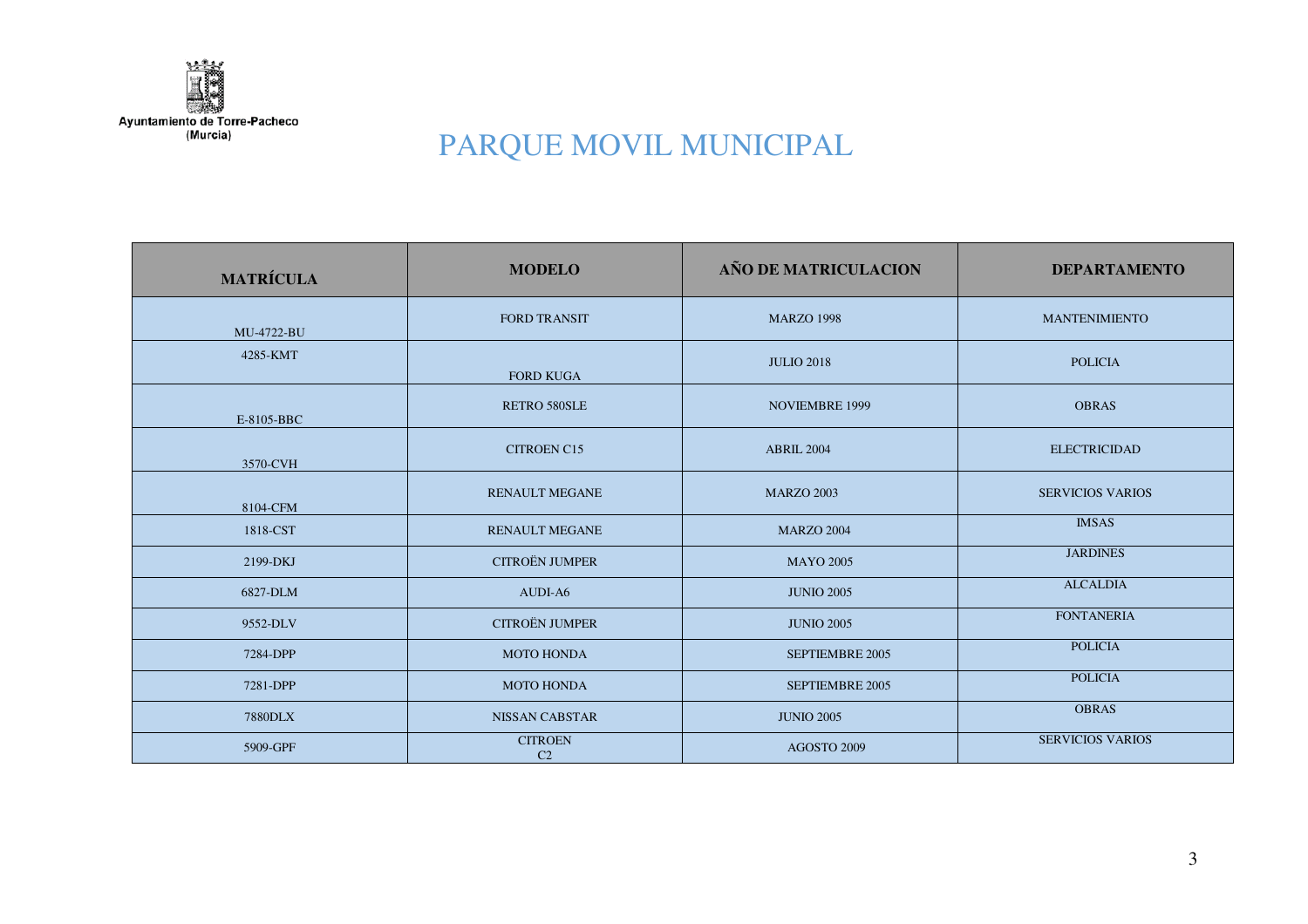

| <b>MATRÍCULA</b> | <b>MODELO</b>                    | AÑO DE MATRICULACION  | <b>DEPARTAMENTO</b>     |
|------------------|----------------------------------|-----------------------|-------------------------|
| MU-4722-BU       | <b>FORD TRANSIT</b>              | <b>MARZO 1998</b>     | <b>MANTENIMIENTO</b>    |
| 4285-KMT         | <b>FORD KUGA</b>                 | <b>JULIO 2018</b>     | <b>POLICIA</b>          |
| E-8105-BBC       | RETRO 580SLE                     | <b>NOVIEMBRE 1999</b> | <b>OBRAS</b>            |
| 3570-CVH         | <b>CITROEN C15</b>               | <b>ABRIL 2004</b>     | <b>ELECTRICIDAD</b>     |
| 8104-CFM         | <b>RENAULT MEGANE</b>            | <b>MARZO 2003</b>     | <b>SERVICIOS VARIOS</b> |
| 1818-CST         | <b>RENAULT MEGANE</b>            | <b>MARZO 2004</b>     | <b>IMSAS</b>            |
| 2199-DKJ         | <b>CITROËN JUMPER</b>            | <b>MAYO 2005</b>      | <b>JARDINES</b>         |
| 6827-DLM         | AUDI-A6                          | <b>JUNIO 2005</b>     | <b>ALCALDIA</b>         |
| 9552-DLV         | <b>CITROËN JUMPER</b>            | <b>JUNIO 2005</b>     | <b>FONTANERIA</b>       |
| 7284-DPP         | <b>MOTO HONDA</b>                | SEPTIEMBRE 2005       | <b>POLICIA</b>          |
| 7281-DPP         | <b>MOTO HONDA</b>                | SEPTIEMBRE 2005       | <b>POLICIA</b>          |
| <b>7880DLX</b>   | <b>NISSAN CABSTAR</b>            | <b>JUNIO 2005</b>     | <b>OBRAS</b>            |
| 5909-GPF         | <b>CITROEN</b><br>C <sub>2</sub> | AGOSTO 2009           | <b>SERVICIOS VARIOS</b> |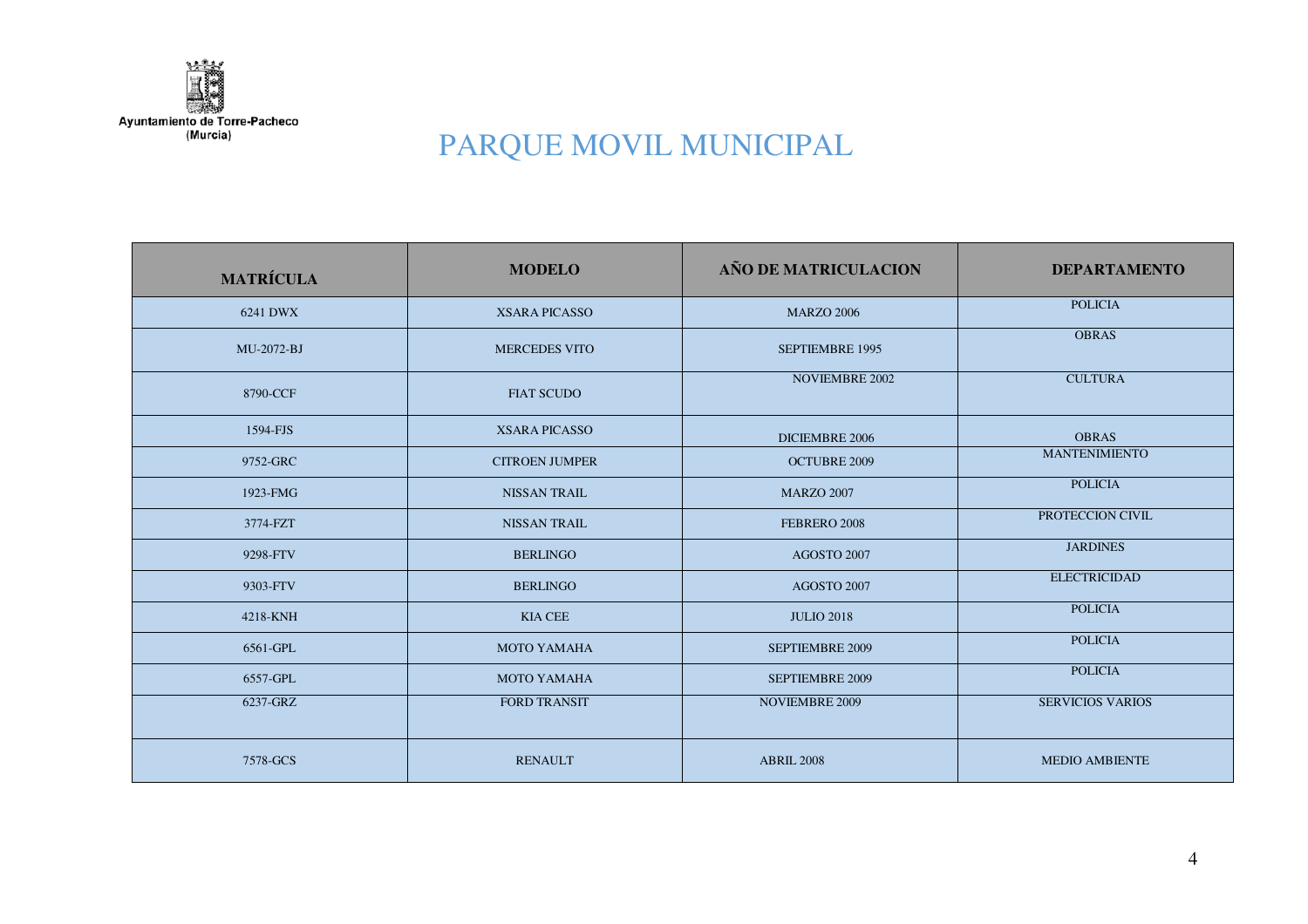

| <b>MATRÍCULA</b> | <b>MODELO</b>         | AÑO DE MATRICULACION   | <b>DEPARTAMENTO</b>     |
|------------------|-----------------------|------------------------|-------------------------|
| 6241 DWX         | <b>XSARA PICASSO</b>  | <b>MARZO 2006</b>      | <b>POLICIA</b>          |
| MU-2072-BJ       | <b>MERCEDES VITO</b>  | <b>SEPTIEMBRE 1995</b> | <b>OBRAS</b>            |
| 8790-CCF         | <b>FIAT SCUDO</b>     | <b>NOVIEMBRE 2002</b>  | <b>CULTURA</b>          |
| 1594-FJS         | <b>XSARA PICASSO</b>  | DICIEMBRE 2006         | <b>OBRAS</b>            |
| 9752-GRC         | <b>CITROEN JUMPER</b> | <b>OCTUBRE 2009</b>    | <b>MANTENIMIENTO</b>    |
| 1923-FMG         | <b>NISSAN TRAIL</b>   | <b>MARZO 2007</b>      | <b>POLICIA</b>          |
| 3774-FZT         | <b>NISSAN TRAIL</b>   | FEBRERO 2008           | PROTECCION CIVIL        |
| 9298-FTV         | <b>BERLINGO</b>       | AGOSTO 2007            | <b>JARDINES</b>         |
| 9303-FTV         | <b>BERLINGO</b>       | AGOSTO 2007            | <b>ELECTRICIDAD</b>     |
| 4218-KNH         | <b>KIA CEE</b>        | <b>JULIO 2018</b>      | <b>POLICIA</b>          |
| 6561-GPL         | <b>MOTO YAMAHA</b>    | <b>SEPTIEMBRE 2009</b> | <b>POLICIA</b>          |
| 6557-GPL         | <b>MOTO YAMAHA</b>    | <b>SEPTIEMBRE 2009</b> | <b>POLICIA</b>          |
| 6237-GRZ         | <b>FORD TRANSIT</b>   | <b>NOVIEMBRE 2009</b>  | <b>SERVICIOS VARIOS</b> |
| 7578-GCS         | <b>RENAULT</b>        | <b>ABRIL 2008</b>      | <b>MEDIO AMBIENTE</b>   |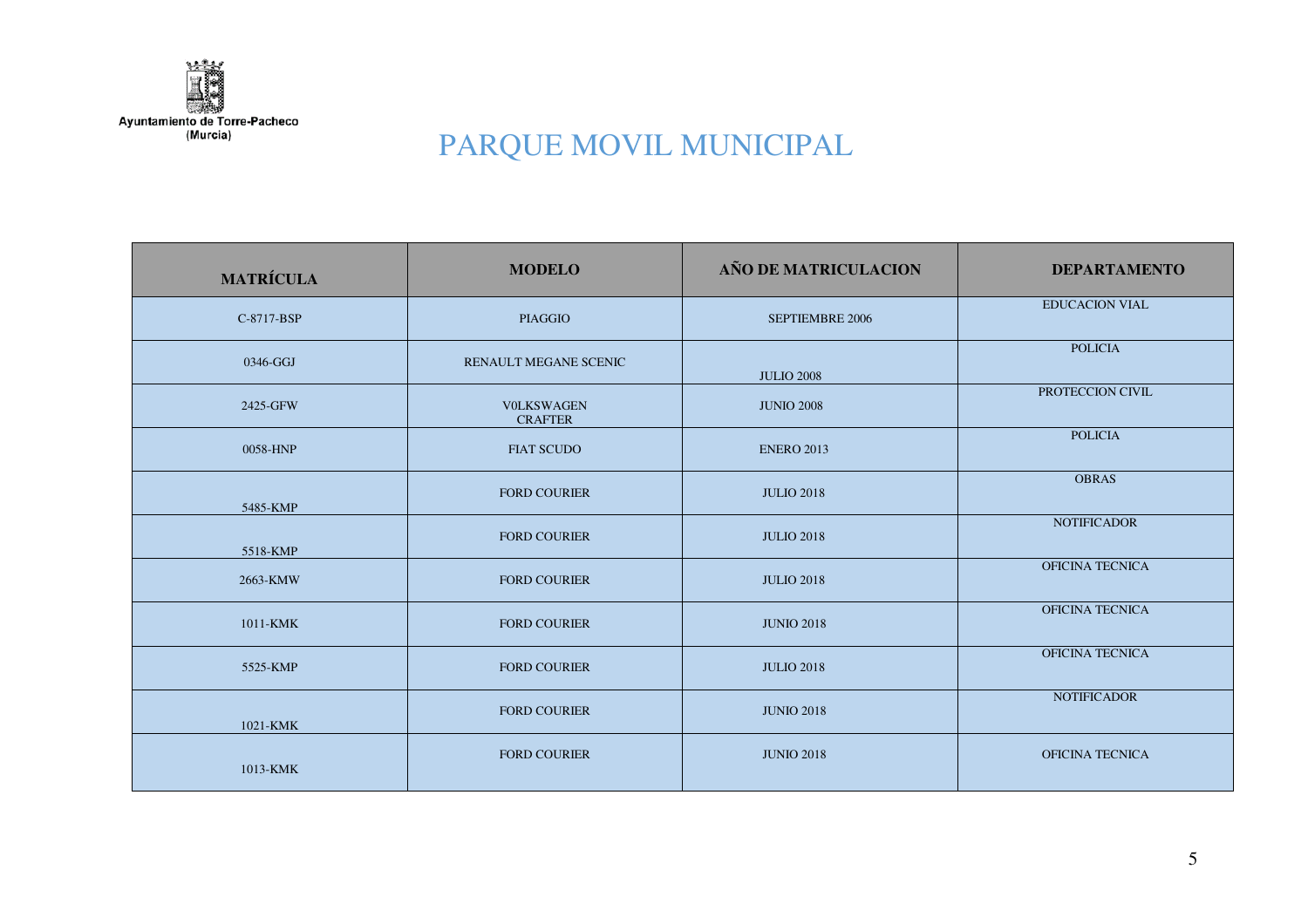

| <b>MATRÍCULA</b> | <b>MODELO</b>                       | AÑO DE MATRICULACION   | <b>DEPARTAMENTO</b>    |
|------------------|-------------------------------------|------------------------|------------------------|
| C-8717-BSP       | <b>PIAGGIO</b>                      | <b>SEPTIEMBRE 2006</b> | <b>EDUCACION VIAL</b>  |
| 0346-GGJ         | RENAULT MEGANE SCENIC               | <b>JULIO 2008</b>      | <b>POLICIA</b>         |
| 2425-GFW         | <b>VOLKSWAGEN</b><br><b>CRAFTER</b> | <b>JUNIO 2008</b>      | PROTECCION CIVIL       |
| 0058-HNP         | <b>FIAT SCUDO</b>                   | <b>ENERO 2013</b>      | <b>POLICIA</b>         |
| 5485-KMP         | <b>FORD COURIER</b>                 | <b>JULIO 2018</b>      | <b>OBRAS</b>           |
| 5518-KMP         | <b>FORD COURIER</b>                 | <b>JULIO 2018</b>      | <b>NOTIFICADOR</b>     |
| 2663-KMW         | <b>FORD COURIER</b>                 | <b>JULIO 2018</b>      | OFICINA TECNICA        |
| 1011-KMK         | <b>FORD COURIER</b>                 | <b>JUNIO 2018</b>      | <b>OFICINA TECNICA</b> |
| 5525-KMP         | <b>FORD COURIER</b>                 | <b>JULIO 2018</b>      | OFICINA TECNICA        |
| 1021-KMK         | <b>FORD COURIER</b>                 | <b>JUNIO 2018</b>      | <b>NOTIFICADOR</b>     |
| 1013-KMK         | <b>FORD COURIER</b>                 | <b>JUNIO 2018</b>      | <b>OFICINA TECNICA</b> |